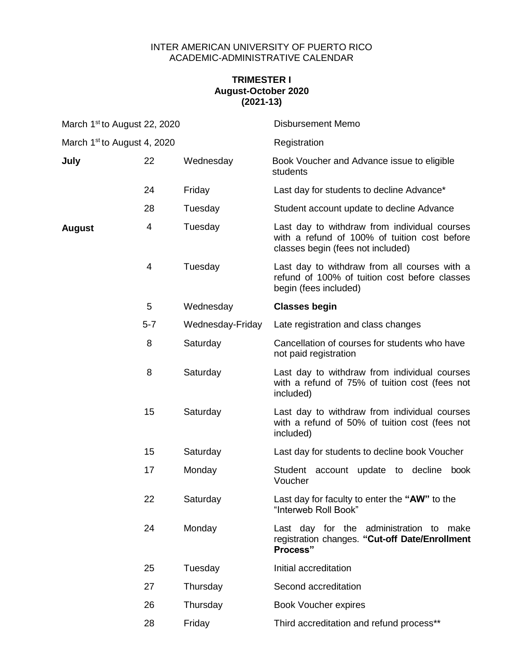## INTER AMERICAN UNIVERSITY OF PUERTO RICO ACADEMIC-ADMINISTRATIVE CALENDAR

## **TRIMESTER I August-October 2020 (2021-13)**

| March 1 <sup>st</sup> to August 22, 2020 |         |                  | <b>Disbursement Memo</b>                                                                                                          |
|------------------------------------------|---------|------------------|-----------------------------------------------------------------------------------------------------------------------------------|
| March 1 <sup>st</sup> to August 4, 2020  |         |                  | Registration                                                                                                                      |
| July                                     | 22      | Wednesday        | Book Voucher and Advance issue to eligible<br>students                                                                            |
|                                          | 24      | Friday           | Last day for students to decline Advance*                                                                                         |
|                                          | 28      | Tuesday          | Student account update to decline Advance                                                                                         |
| <b>August</b>                            | 4       | Tuesday          | Last day to withdraw from individual courses<br>with a refund of 100% of tuition cost before<br>classes begin (fees not included) |
|                                          | 4       | Tuesday          | Last day to withdraw from all courses with a<br>refund of 100% of tuition cost before classes<br>begin (fees included)            |
|                                          | 5       | Wednesday        | <b>Classes begin</b>                                                                                                              |
|                                          | $5 - 7$ | Wednesday-Friday | Late registration and class changes                                                                                               |
|                                          | 8       | Saturday         | Cancellation of courses for students who have<br>not paid registration                                                            |
|                                          | 8       | Saturday         | Last day to withdraw from individual courses<br>with a refund of 75% of tuition cost (fees not<br>included)                       |
|                                          | 15      | Saturday         | Last day to withdraw from individual courses<br>with a refund of 50% of tuition cost (fees not<br>included)                       |
|                                          | 15      | Saturday         | Last day for students to decline book Voucher                                                                                     |
|                                          | 17      | Monday           | Student account update to decline<br>book<br>Voucher                                                                              |
|                                          | 22      | Saturday         | Last day for faculty to enter the "AW" to the<br>"Interweb Roll Book"                                                             |
|                                          | 24      | Monday           | Last day for the administration to make<br>registration changes. "Cut-off Date/Enrollment<br>Process"                             |
|                                          | 25      | Tuesday          | Initial accreditation                                                                                                             |
|                                          | 27      | Thursday         | Second accreditation                                                                                                              |
|                                          | 26      | Thursday         | <b>Book Voucher expires</b>                                                                                                       |
|                                          | 28      | Friday           | Third accreditation and refund process**                                                                                          |